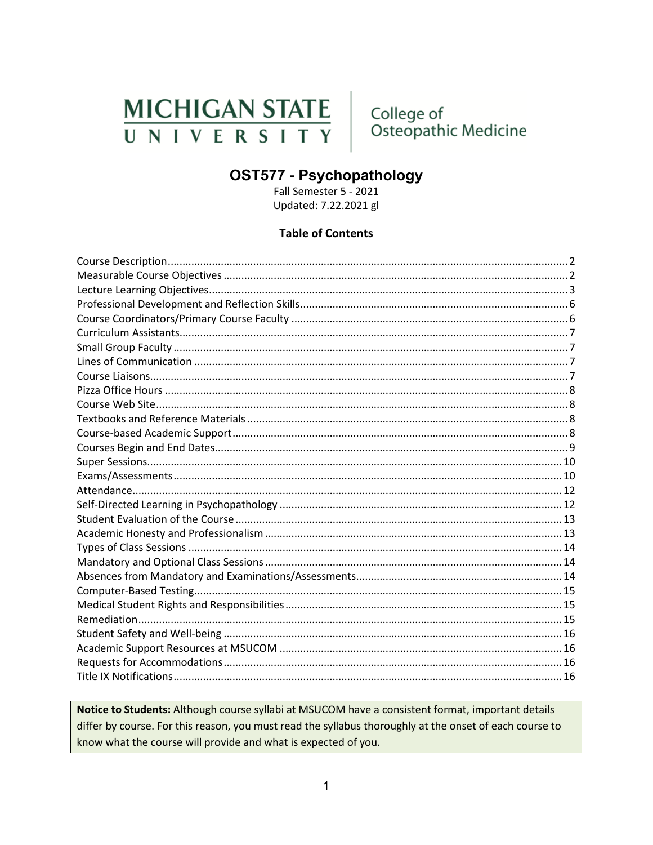# **MICHIGAN STATE** UNIVERSITY

College of Osteopathic Medicine

# **OST577 - Psychopathology**

Fall Semester 5 - 2021 Updated: 7.22.2021 gl

### **Table of Contents**

Notice to Students: Although course syllabi at MSUCOM have a consistent format, important details differ by course. For this reason, you must read the syllabus thoroughly at the onset of each course to know what the course will provide and what is expected of you.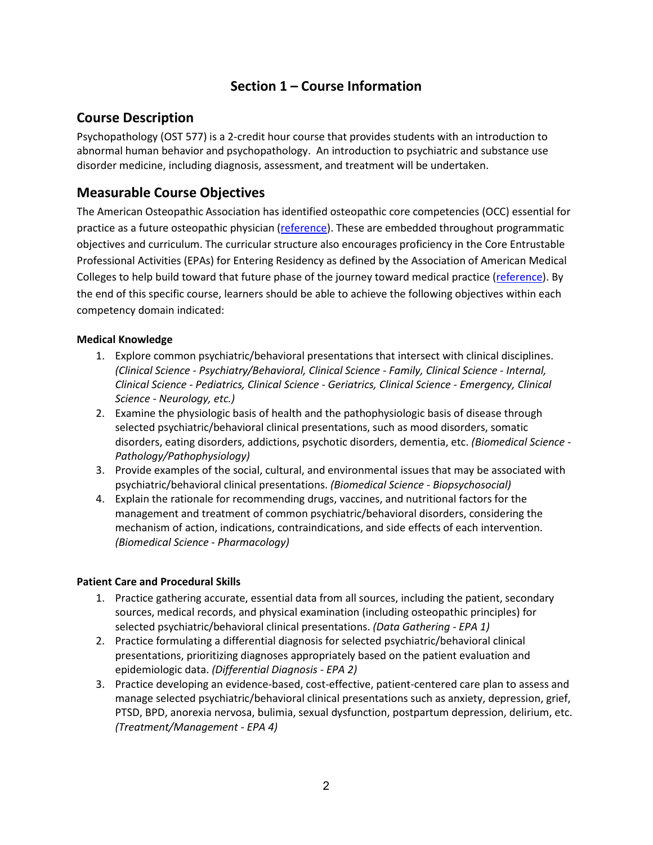# **Section 1 – Course Information**

### <span id="page-1-0"></span>**Course Description**

Psychopathology (OST 577) is a 2-credit hour course that provides students with an introduction to abnormal human behavior and psychopathology. An introduction to psychiatric and substance use disorder medicine, including diagnosis, assessment, and treatment will be undertaken.

# <span id="page-1-1"></span>**Measurable Course Objectives**

The American Osteopathic Association has identified osteopathic core competencies (OCC) essential for practice as a future osteopathic physician [\(reference\)](https://www.aacom.org/docs/default-source/core-competencies/corecompetencyreport2012.pdf?sfvrsn=4). These are embedded throughout programmatic objectives and curriculum. The curricular structure also encourages proficiency in the Core Entrustable Professional Activities (EPAs) for Entering Residency as defined by the Association of American Medical Colleges to help build toward that future phase of the journey toward medical practice [\(reference\)](https://store.aamc.org/downloadable/download/sample/sample_id/66/). By the end of this specific course, learners should be able to achieve the following objectives within each competency domain indicated:

### **Medical Knowledge**

- 1. Explore common psychiatric/behavioral presentations that intersect with clinical disciplines. *(Clinical Science - Psychiatry/Behavioral, Clinical Science - Family, Clinical Science - Internal, Clinical Science - Pediatrics, Clinical Science - Geriatrics, Clinical Science - Emergency, Clinical Science - Neurology, etc.)*
- 2. Examine the physiologic basis of health and the pathophysiologic basis of disease through selected psychiatric/behavioral clinical presentations, such as mood disorders, somatic disorders, eating disorders, addictions, psychotic disorders, dementia, etc. *(Biomedical Science - Pathology/Pathophysiology)*
- 3. Provide examples of the social, cultural, and environmental issues that may be associated with psychiatric/behavioral clinical presentations. *(Biomedical Science - Biopsychosocial)*
- 4. Explain the rationale for recommending drugs, vaccines, and nutritional factors for the management and treatment of common psychiatric/behavioral disorders, considering the mechanism of action, indications, contraindications, and side effects of each intervention. *(Biomedical Science - Pharmacology)*

#### **Patient Care and Procedural Skills**

- 1. Practice gathering accurate, essential data from all sources, including the patient, secondary sources, medical records, and physical examination (including osteopathic principles) for selected psychiatric/behavioral clinical presentations. *(Data Gathering - EPA 1)*
- 2. Practice formulating a differential diagnosis for selected psychiatric/behavioral clinical presentations, prioritizing diagnoses appropriately based on the patient evaluation and epidemiologic data. *(Differential Diagnosis - EPA 2)*
- 3. Practice developing an evidence-based, cost-effective, patient-centered care plan to assess and manage selected psychiatric/behavioral clinical presentations such as anxiety, depression, grief, PTSD, BPD, anorexia nervosa, bulimia, sexual dysfunction, postpartum depression, delirium, etc. *(Treatment/Management - EPA 4)*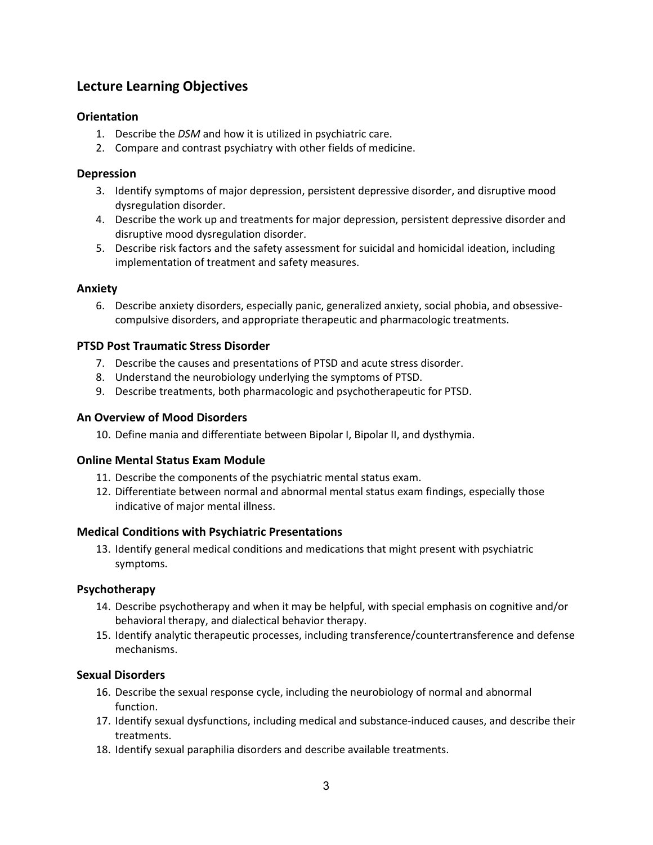# <span id="page-2-0"></span>**Lecture Learning Objectives**

### **Orientation**

- 1. Describe the *DSM* and how it is utilized in psychiatric care.
- 2. Compare and contrast psychiatry with other fields of medicine.

#### **Depression**

- 3. Identify symptoms of major depression, persistent depressive disorder, and disruptive mood dysregulation disorder.
- 4. Describe the work up and treatments for major depression, persistent depressive disorder and disruptive mood dysregulation disorder.
- 5. Describe risk factors and the safety assessment for suicidal and homicidal ideation, including implementation of treatment and safety measures.

#### **Anxiety**

6. Describe anxiety disorders, especially panic, generalized anxiety, social phobia, and obsessivecompulsive disorders, and appropriate therapeutic and pharmacologic treatments.

#### **PTSD Post Traumatic Stress Disorder**

- 7. Describe the causes and presentations of PTSD and acute stress disorder.
- 8. Understand the neurobiology underlying the symptoms of PTSD.
- 9. Describe treatments, both pharmacologic and psychotherapeutic for PTSD.

#### **An Overview of Mood Disorders**

10. Define mania and differentiate between Bipolar I, Bipolar II, and dysthymia.

#### **Online Mental Status Exam Module**

- 11. Describe the components of the psychiatric mental status exam.
- 12. Differentiate between normal and abnormal mental status exam findings, especially those indicative of major mental illness.

#### **Medical Conditions with Psychiatric Presentations**

13. Identify general medical conditions and medications that might present with psychiatric symptoms.

#### **Psychotherapy**

- 14. Describe psychotherapy and when it may be helpful, with special emphasis on cognitive and/or behavioral therapy, and dialectical behavior therapy.
- 15. Identify analytic therapeutic processes, including transference/countertransference and defense mechanisms.

### **Sexual Disorders**

- 16. Describe the sexual response cycle, including the neurobiology of normal and abnormal function.
- 17. Identify sexual dysfunctions, including medical and substance-induced causes, and describe their treatments.
- 18. Identify sexual paraphilia disorders and describe available treatments.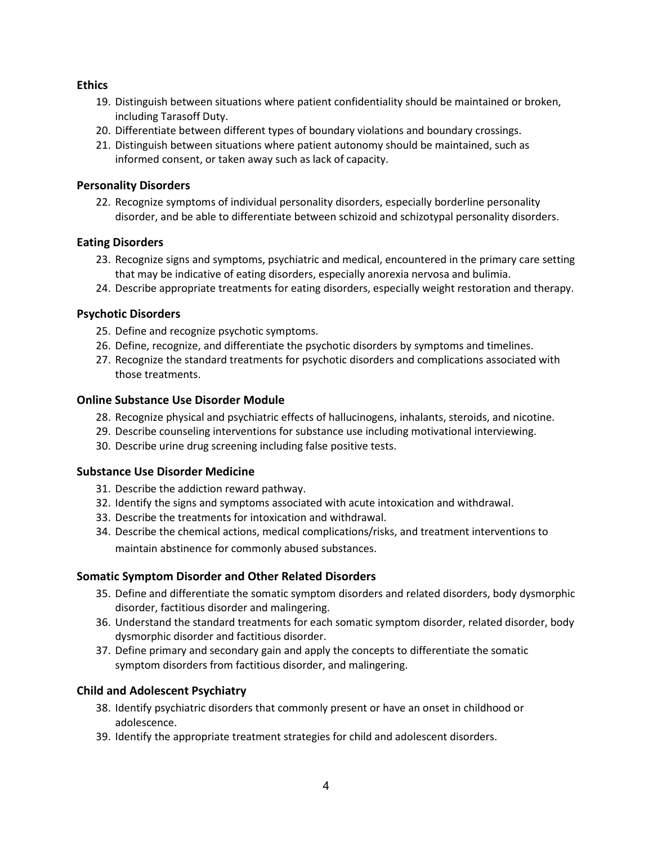#### **Ethics**

- 19. Distinguish between situations where patient confidentiality should be maintained or broken, including Tarasoff Duty.
- 20. Differentiate between different types of boundary violations and boundary crossings.
- 21. Distinguish between situations where patient autonomy should be maintained, such as informed consent, or taken away such as lack of capacity.

#### **Personality Disorders**

22. Recognize symptoms of individual personality disorders, especially borderline personality disorder, and be able to differentiate between schizoid and schizotypal personality disorders.

#### **Eating Disorders**

- 23. Recognize signs and symptoms, psychiatric and medical, encountered in the primary care setting that may be indicative of eating disorders, especially anorexia nervosa and bulimia.
- 24. Describe appropriate treatments for eating disorders, especially weight restoration and therapy.

#### **Psychotic Disorders**

- 25. Define and recognize psychotic symptoms.
- 26. Define, recognize, and differentiate the psychotic disorders by symptoms and timelines.
- 27. Recognize the standard treatments for psychotic disorders and complications associated with those treatments.

#### **Online Substance Use Disorder Module**

- 28. Recognize physical and psychiatric effects of hallucinogens, inhalants, steroids, and nicotine.
- 29. Describe counseling interventions for substance use including motivational interviewing.
- 30. Describe urine drug screening including false positive tests.

#### **Substance Use Disorder Medicine**

- 31. Describe the addiction reward pathway.
- 32. Identify the signs and symptoms associated with acute intoxication and withdrawal.
- 33. Describe the treatments for intoxication and withdrawal.
- 34. Describe the chemical actions, medical complications/risks, and treatment interventions to maintain abstinence for commonly abused substances.

### **Somatic Symptom Disorder and Other Related Disorders**

- 35. Define and differentiate the somatic symptom disorders and related disorders, body dysmorphic disorder, factitious disorder and malingering.
- 36. Understand the standard treatments for each somatic symptom disorder, related disorder, body dysmorphic disorder and factitious disorder.
- 37. Define primary and secondary gain and apply the concepts to differentiate the somatic symptom disorders from factitious disorder, and malingering.

### **Child and Adolescent Psychiatry**

- 38. Identify psychiatric disorders that commonly present or have an onset in childhood or adolescence.
- 39. Identify the appropriate treatment strategies for child and adolescent disorders.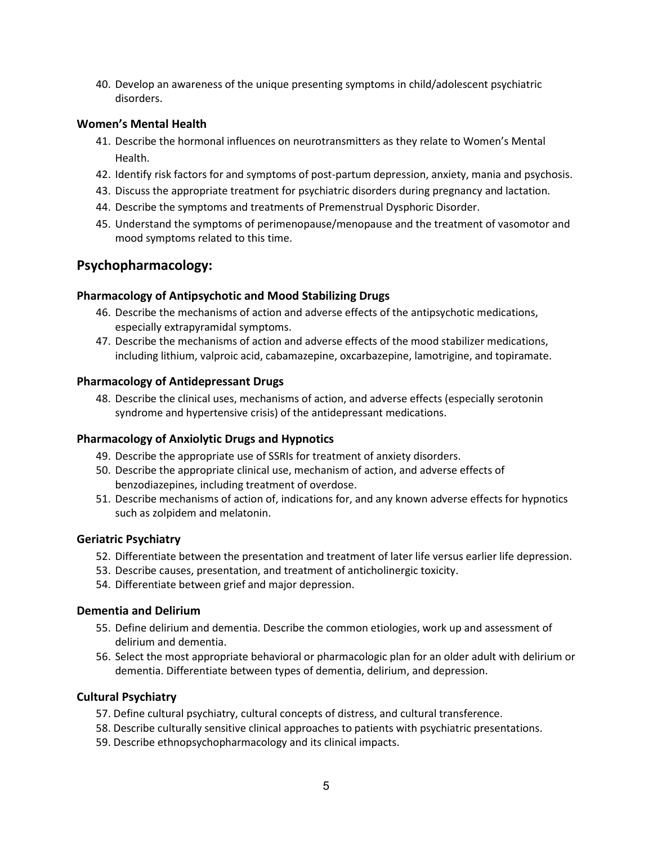40. Develop an awareness of the unique presenting symptoms in child/adolescent psychiatric disorders.

#### **Women's Mental Health**

- 41. Describe the hormonal influences on neurotransmitters as they relate to Women's Mental Health.
- 42. Identify risk factors for and symptoms of post-partum depression, anxiety, mania and psychosis.
- 43. Discuss the appropriate treatment for psychiatric disorders during pregnancy and lactation.
- 44. Describe the symptoms and treatments of Premenstrual Dysphoric Disorder.
- 45. Understand the symptoms of perimenopause/menopause and the treatment of vasomotor and mood symptoms related to this time.

### **Psychopharmacology:**

#### **Pharmacology of Antipsychotic and Mood Stabilizing Drugs**

- 46. Describe the mechanisms of action and adverse effects of the antipsychotic medications, especially extrapyramidal symptoms.
- 47. Describe the mechanisms of action and adverse effects of the mood stabilizer medications, including lithium, valproic acid, cabamazepine, oxcarbazepine, lamotrigine, and topiramate.

#### **Pharmacology of Antidepressant Drugs**

48. Describe the clinical uses, mechanisms of action, and adverse effects (especially serotonin syndrome and hypertensive crisis) of the antidepressant medications.

#### **Pharmacology of Anxiolytic Drugs and Hypnotics**

- 49. Describe the appropriate use of SSRIs for treatment of anxiety disorders.
- 50. Describe the appropriate clinical use, mechanism of action, and adverse effects of benzodiazepines, including treatment of overdose.
- 51. Describe mechanisms of action of, indications for, and any known adverse effects for hypnotics such as zolpidem and melatonin.

#### **Geriatric Psychiatry**

- 52. Differentiate between the presentation and treatment of later life versus earlier life depression.
- 53. Describe causes, presentation, and treatment of anticholinergic toxicity.
- 54. Differentiate between grief and major depression.

#### **Dementia and Delirium**

- 55. Define delirium and dementia. Describe the common etiologies, work up and assessment of delirium and dementia.
- 56. Select the most appropriate behavioral or pharmacologic plan for an older adult with delirium or dementia. Differentiate between types of dementia, delirium, and depression.

#### **Cultural Psychiatry**

- 57. Define cultural psychiatry, cultural concepts of distress, and cultural transference.
- 58. Describe culturally sensitive clinical approaches to patients with psychiatric presentations.
- 59. Describe ethnopsychopharmacology and its clinical impacts.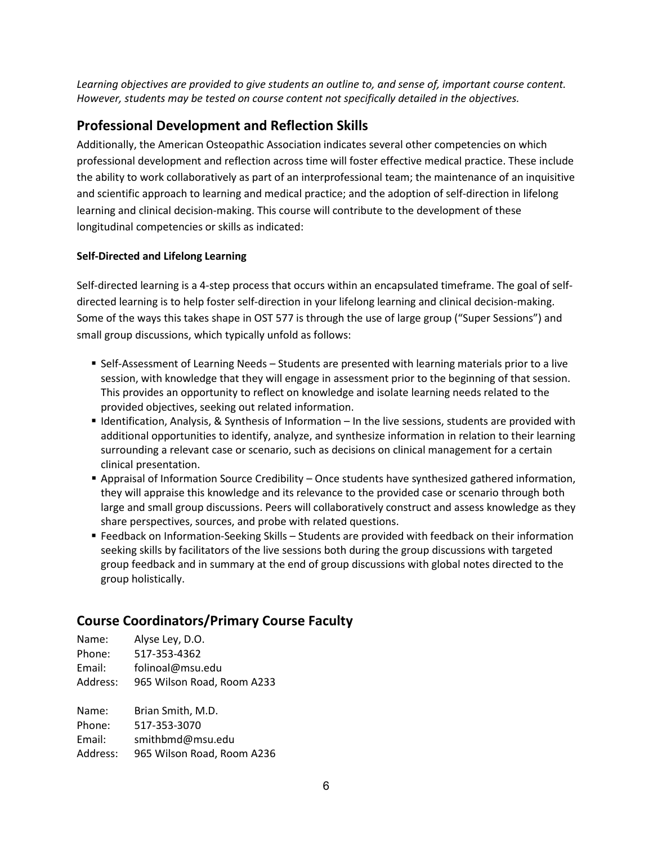*Learning objectives are provided to give students an outline to, and sense of, important course content. However, students may be tested on course content not specifically detailed in the objectives.*

# <span id="page-5-0"></span>**Professional Development and Reflection Skills**

Additionally, the American Osteopathic Association indicates several other competencies on which professional development and reflection across time will foster effective medical practice. These include the ability to work collaboratively as part of an interprofessional team; the maintenance of an inquisitive and scientific approach to learning and medical practice; and the adoption of self-direction in lifelong learning and clinical decision-making. This course will contribute to the development of these longitudinal competencies or skills as indicated:

### **Self-Directed and Lifelong Learning**

Self-directed learning is a 4-step process that occurs within an encapsulated timeframe. The goal of selfdirected learning is to help foster self-direction in your lifelong learning and clinical decision-making. Some of the ways this takes shape in OST 577 is through the use of large group ("Super Sessions") and small group discussions, which typically unfold as follows:

- **Self-Assessment of Learning Needs Students are presented with learning materials prior to a live** session, with knowledge that they will engage in assessment prior to the beginning of that session. This provides an opportunity to reflect on knowledge and isolate learning needs related to the provided objectives, seeking out related information.
- Identification, Analysis, & Synthesis of Information In the live sessions, students are provided with additional opportunities to identify, analyze, and synthesize information in relation to their learning surrounding a relevant case or scenario, such as decisions on clinical management for a certain clinical presentation.
- **Appraisal of Information Source Credibility Once students have synthesized gathered information,** they will appraise this knowledge and its relevance to the provided case or scenario through both large and small group discussions. Peers will collaboratively construct and assess knowledge as they share perspectives, sources, and probe with related questions.
- Feedback on Information-Seeking Skills Students are provided with feedback on their information seeking skills by facilitators of the live sessions both during the group discussions with targeted group feedback and in summary at the end of group discussions with global notes directed to the group holistically.

# <span id="page-5-1"></span>**Course Coordinators/Primary Course Faculty**

| Name:    | Alyse Ley, D.O.            |
|----------|----------------------------|
| Phone:   | 517-353-4362               |
| Email:   | folinoal@msu.edu           |
| Address: | 965 Wilson Road, Room A233 |
| Name:    | Brian Smith, M.D.          |
| Phone:   | 517-353-3070               |
|          |                            |

Email: smithbmd@msu.edu Address: 965 Wilson Road, Room A236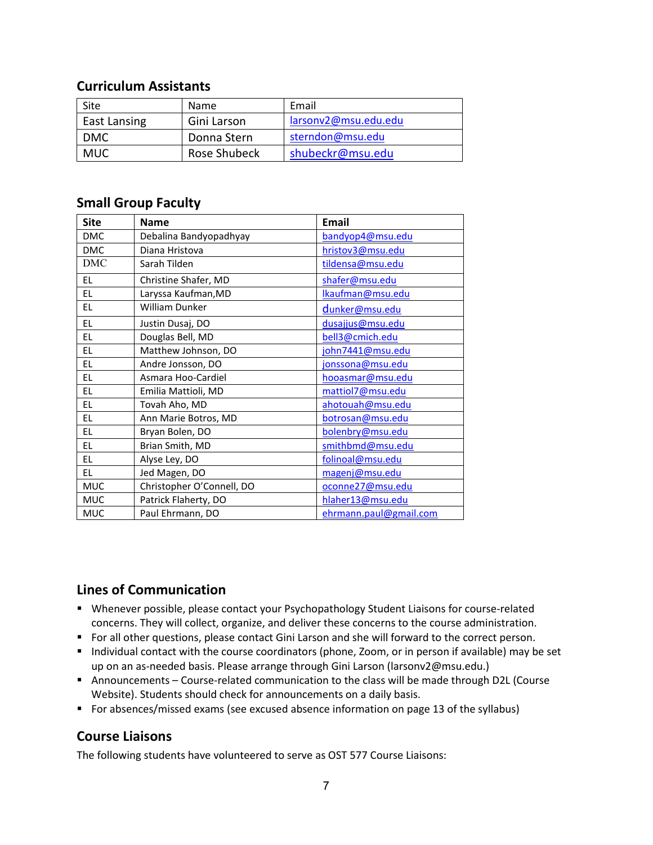### <span id="page-6-0"></span>**Curriculum Assistants**

| Site         | Name         | Email                |
|--------------|--------------|----------------------|
| East Lansing | Gini Larson  | larsonv2@msu.edu.edu |
| <b>DMC</b>   | Donna Stern  | sterndon@msu.edu     |
| <b>MUC</b>   | Rose Shubeck | shubeckr@msu.edu     |

### <span id="page-6-1"></span>**Small Group Faculty**

| <b>Site</b> | <b>Name</b>               | <b>Email</b>           |
|-------------|---------------------------|------------------------|
| <b>DMC</b>  | Debalina Bandyopadhyay    | bandyop4@msu.edu       |
| <b>DMC</b>  | Diana Hristova            | hristov3@msu.edu       |
| <b>DMC</b>  | Sarah Tilden              | tildensa@msu.edu       |
| EL.         | Christine Shafer, MD      | shafer@msu.edu         |
| EL.         | Laryssa Kaufman, MD       | Ikaufman@msu.edu       |
| EL.         | William Dunker            | dunker@msu.edu         |
| EL.         | Justin Dusaj, DO          | dusajjus@msu.edu       |
| EL.         | Douglas Bell, MD          | bell3@cmich.edu        |
| EL.         | Matthew Johnson, DO       | john7441@msu.edu       |
| EL.         | Andre Jonsson, DO         | jonssona@msu.edu       |
| EL          | Asmara Hoo-Cardiel        | hooasmar@msu.edu       |
| EL.         | Emilia Mattioli, MD       | mattiol7@msu.edu       |
| EL          | Tovah Aho, MD             | ahotouah@msu.edu       |
| EL.         | Ann Marie Botros, MD      | botrosan@msu.edu       |
| EL          | Bryan Bolen, DO           | bolenbry@msu.edu       |
| EL          | Brian Smith, MD           | smithbmd@msu.edu       |
| EL.         | Alyse Ley, DO             | folinoal@msu.edu       |
| EL.         | Jed Magen, DO             | magenj@msu.edu         |
| <b>MUC</b>  | Christopher O'Connell, DO | oconne27@msu.edu       |
| <b>MUC</b>  | Patrick Flaherty, DO      | hlaher13@msu.edu       |
| <b>MUC</b>  | Paul Ehrmann, DO          | ehrmann.paul@gmail.com |

### <span id="page-6-2"></span>**Lines of Communication**

- Whenever possible, please contact your Psychopathology Student Liaisons for course-related concerns. They will collect, organize, and deliver these concerns to the course administration.
- For all other questions, please contact Gini Larson and she will forward to the correct person.
- Individual contact with the course coordinators (phone, Zoom, or in person if available) may be set up on an as-needed basis. Please arrange through Gini Larson (larsonv2@msu.edu.)
- Announcements Course-related communication to the class will be made through D2L (Course Website). Students should check for announcements on a daily basis.
- <span id="page-6-3"></span>For absences/missed exams (see excused absence information on page 13 of the syllabus)

### **Course Liaisons**

The following students have volunteered to serve as OST 577 Course Liaisons: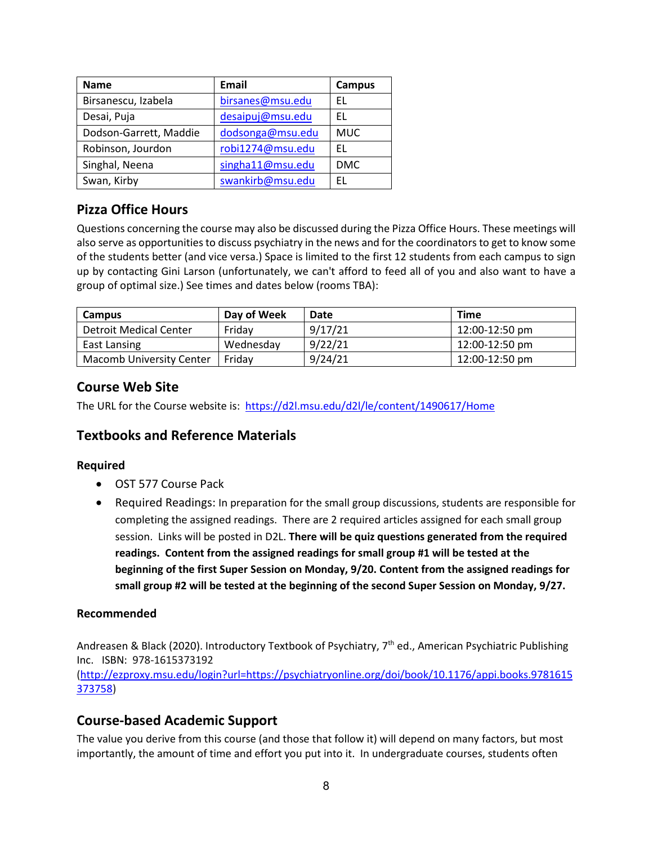| Name                   | Email            | Campus     |
|------------------------|------------------|------------|
| Birsanescu, Izabela    | birsanes@msu.edu | EL.        |
| Desai, Puja            | desaipuj@msu.edu | FI.        |
| Dodson-Garrett, Maddie | dodsonga@msu.edu | <b>MUC</b> |
| Robinson, Jourdon      | robi1274@msu.edu | FI.        |
| Singhal, Neena         | singha11@msu.edu | <b>DMC</b> |
| Swan, Kirby            | swankirb@msu.edu | FΙ         |

# <span id="page-7-0"></span>**Pizza Office Hours**

Questions concerning the course may also be discussed during the Pizza Office Hours. These meetings will also serve as opportunitiesto discuss psychiatry in the news and for the coordinators to get to know some of the students better (and vice versa.) Space is limited to the first 12 students from each campus to sign up by contacting Gini Larson (unfortunately, we can't afford to feed all of you and also want to have a group of optimal size.) See times and dates below (rooms TBA):

| <b>Campus</b>                   | Day of Week | Date    | <b>Time</b>    |
|---------------------------------|-------------|---------|----------------|
| Detroit Medical Center          | Fridav      | 9/17/21 | 12:00-12:50 pm |
| East Lansing                    | Wednesday   | 9/22/21 | 12:00-12:50 pm |
| <b>Macomb University Center</b> | Fridav      | 9/24/21 | 12:00-12:50 pm |

# <span id="page-7-1"></span>**Course Web Site**

The URL for the Course website is: <https://d2l.msu.edu/d2l/le/content/1490617/Home>

### <span id="page-7-2"></span>**Textbooks and Reference Materials**

### **Required**

- OST 577 Course Pack
- Required Readings: In preparation for the small group discussions, students are responsible for completing the assigned readings. There are 2 required articles assigned for each small group session. Links will be posted in D2L. **There will be quiz questions generated from the required readings. Content from the assigned readings for small group #1 will be tested at the beginning of the first Super Session on Monday, 9/20. Content from the assigned readings for small group #2 will be tested at the beginning of the second Super Session on Monday, 9/27.**

### **Recommended**

Andreasen & Black (2020). Introductory Textbook of Psychiatry, 7<sup>th</sup> ed., American Psychiatric Publishing Inc. ISBN: 978-1615373192 [\(http://ezproxy.msu.edu/login?url=https://psychiatryonline.org/doi/book/10.1176/appi.books.9781615](http://ezproxy.msu.edu/login?url=https://psychiatryonline.org/doi/book/10.1176/appi.books.9781615373758) [373758\)](http://ezproxy.msu.edu/login?url=https://psychiatryonline.org/doi/book/10.1176/appi.books.9781615373758)

### <span id="page-7-3"></span>**Course-based Academic Support**

The value you derive from this course (and those that follow it) will depend on many factors, but most importantly, the amount of time and effort you put into it. In undergraduate courses, students often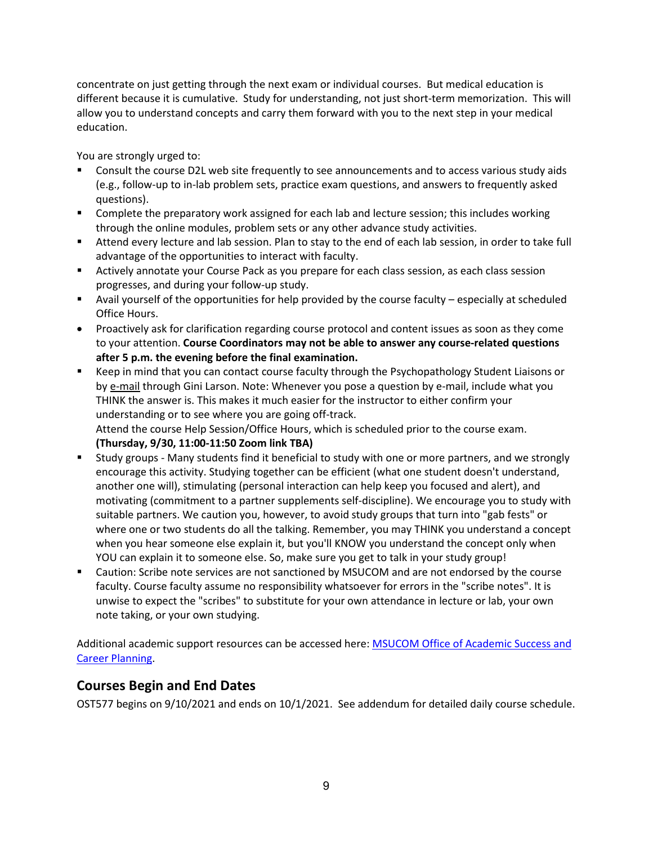concentrate on just getting through the next exam or individual courses. But medical education is different because it is cumulative. Study for understanding, not just short-term memorization. This will allow you to understand concepts and carry them forward with you to the next step in your medical education.

You are strongly urged to:

- Consult the course D2L web site frequently to see announcements and to access various study aids (e.g., follow-up to in-lab problem sets, practice exam questions, and answers to frequently asked questions).
- Complete the preparatory work assigned for each lab and lecture session; this includes working through the online modules, problem sets or any other advance study activities.
- Attend every lecture and lab session. Plan to stay to the end of each lab session, in order to take full advantage of the opportunities to interact with faculty.
- Actively annotate your Course Pack as you prepare for each class session, as each class session progresses, and during your follow-up study.
- Avail yourself of the opportunities for help provided by the course faculty especially at scheduled Office Hours.
- Proactively ask for clarification regarding course protocol and content issues as soon as they come to your attention. **Course Coordinators may not be able to answer any course-related questions after 5 p.m. the evening before the final examination.**
- Keep in mind that you can contact course faculty through the Psychopathology Student Liaisons or by e-mail through Gini Larson. Note: Whenever you pose a question by e-mail, include what you THINK the answer is. This makes it much easier for the instructor to either confirm your understanding or to see where you are going off-track. Attend the course Help Session/Office Hours, which is scheduled prior to the course exam.

**(Thursday, 9/30, 11:00-11:50 Zoom link TBA)**

- Study groups Many students find it beneficial to study with one or more partners, and we strongly encourage this activity. Studying together can be efficient (what one student doesn't understand, another one will), stimulating (personal interaction can help keep you focused and alert), and motivating (commitment to a partner supplements self-discipline). We encourage you to study with suitable partners. We caution you, however, to avoid study groups that turn into "gab fests" or where one or two students do all the talking. Remember, you may THINK you understand a concept when you hear someone else explain it, but you'll KNOW you understand the concept only when YOU can explain it to someone else. So, make sure you get to talk in your study group!
- Caution: Scribe note services are not sanctioned by MSUCOM and are not endorsed by the course faculty. Course faculty assume no responsibility whatsoever for errors in the "scribe notes". It is unwise to expect the "scribes" to substitute for your own attendance in lecture or lab, your own note taking, or your own studying.

Additional academic support resources can be accessed here: [MSUCOM Office of Academic Success and](http://com.msu.edu/Students/Academic_Career_Guidance/index.htm)  [Career Planning.](http://com.msu.edu/Students/Academic_Career_Guidance/index.htm)

# <span id="page-8-0"></span>**Courses Begin and End Dates**

OST577 begins on 9/10/2021 and ends on 10/1/2021. See addendum for detailed daily course schedule.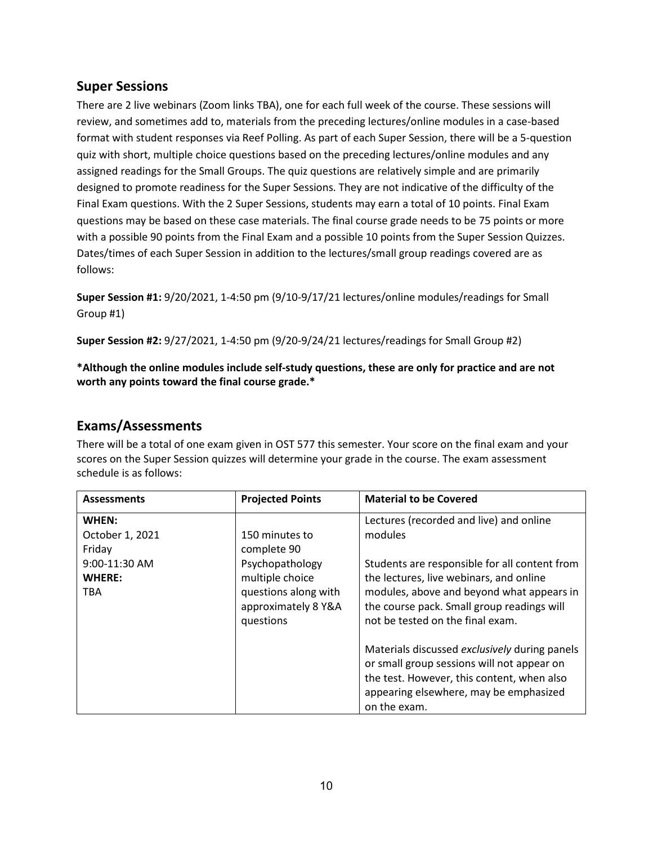### <span id="page-9-0"></span>**Super Sessions**

There are 2 live webinars (Zoom links TBA), one for each full week of the course. These sessions will review, and sometimes add to, materials from the preceding lectures/online modules in a case-based format with student responses via Reef Polling. As part of each Super Session, there will be a 5-question quiz with short, multiple choice questions based on the preceding lectures/online modules and any assigned readings for the Small Groups. The quiz questions are relatively simple and are primarily designed to promote readiness for the Super Sessions. They are not indicative of the difficulty of the Final Exam questions. With the 2 Super Sessions, students may earn a total of 10 points. Final Exam questions may be based on these case materials. The final course grade needs to be 75 points or more with a possible 90 points from the Final Exam and a possible 10 points from the Super Session Quizzes. Dates/times of each Super Session in addition to the lectures/small group readings covered are as follows:

**Super Session #1:** 9/20/2021, 1-4:50 pm (9/10-9/17/21 lectures/online modules/readings for Small Group #1)

**Super Session #2:** 9/27/2021, 1-4:50 pm (9/20-9/24/21 lectures/readings for Small Group #2)

**\*Although the online modules include self-study questions, these are only for practice and are not worth any points toward the final course grade.\***

### <span id="page-9-1"></span>**Exams/Assessments**

There will be a total of one exam given in OST 577 this semester. Your score on the final exam and your scores on the Super Session quizzes will determine your grade in the course. The exam assessment schedule is as follows:

| <b>Assessments</b>                           | <b>Projected Points</b>                                                                        | <b>Material to be Covered</b>                                                                                                                                                                                           |
|----------------------------------------------|------------------------------------------------------------------------------------------------|-------------------------------------------------------------------------------------------------------------------------------------------------------------------------------------------------------------------------|
| WHEN:<br>October 1, 2021<br>Friday           | 150 minutes to<br>complete 90                                                                  | Lectures (recorded and live) and online<br>modules                                                                                                                                                                      |
| 9:00-11:30 AM<br><b>WHERE:</b><br><b>TBA</b> | Psychopathology<br>multiple choice<br>questions along with<br>approximately 8 Y&A<br>questions | Students are responsible for all content from<br>the lectures, live webinars, and online<br>modules, above and beyond what appears in<br>the course pack. Small group readings will<br>not be tested on the final exam. |
|                                              |                                                                                                | Materials discussed exclusively during panels<br>or small group sessions will not appear on<br>the test. However, this content, when also<br>appearing elsewhere, may be emphasized<br>on the exam.                     |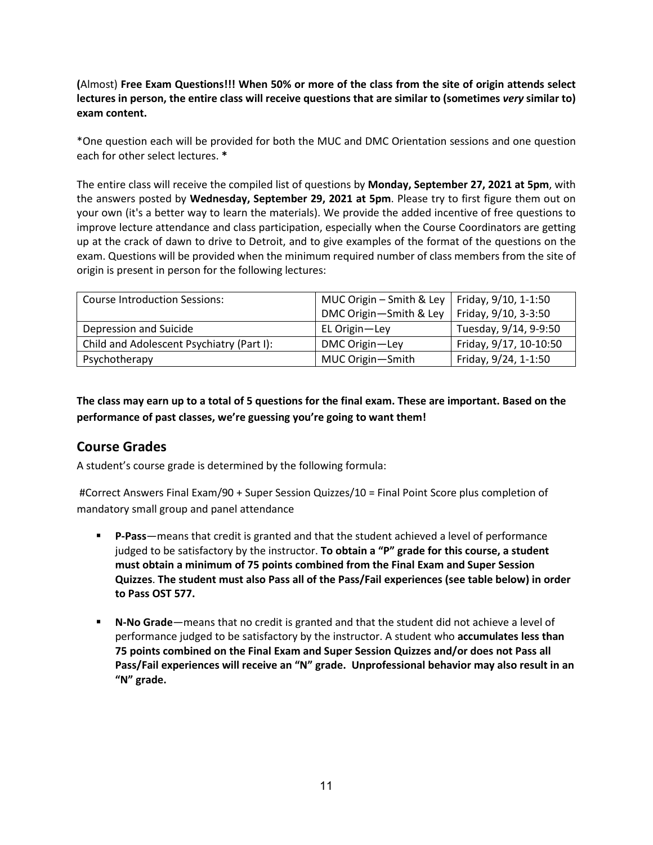**(**Almost) **Free Exam Questions!!! When 50% or more of the class from the site of origin attends select lectures in person, the entire class will receive questions that are similar to (sometimes** *very* **similar to) exam content.**

\*One question each will be provided for both the MUC and DMC Orientation sessions and one question each for other select lectures. **\***

The entire class will receive the compiled list of questions by **Monday, September 27, 2021 at 5pm**, with the answers posted by **Wednesday, September 29, 2021 at 5pm**. Please try to first figure them out on your own (it's a better way to learn the materials). We provide the added incentive of free questions to improve lecture attendance and class participation, especially when the Course Coordinators are getting up at the crack of dawn to drive to Detroit, and to give examples of the format of the questions on the exam. Questions will be provided when the minimum required number of class members from the site of origin is present in person for the following lectures:

| <b>Course Introduction Sessions:</b>      | MUC Origin – Smith & Ley   Friday, $9/10$ , 1-1:50 |                        |
|-------------------------------------------|----------------------------------------------------|------------------------|
|                                           | DMC Origin-Smith & Ley                             | Friday, 9/10, 3-3:50   |
| Depression and Suicide                    | EL Origin-Ley                                      | Tuesday, 9/14, 9-9:50  |
| Child and Adolescent Psychiatry (Part I): | DMC Origin-Ley                                     | Friday, 9/17, 10-10:50 |
| Psychotherapy                             | MUC Origin-Smith                                   | Friday, 9/24, 1-1:50   |

**The class may earn up to a total of 5 questions for the final exam. These are important. Based on the performance of past classes, we're guessing you're going to want them!**

# **Course Grades**

A student's course grade is determined by the following formula:

#Correct Answers Final Exam/90 + Super Session Quizzes/10 = Final Point Score plus completion of mandatory small group and panel attendance

- **P-Pass**—means that credit is granted and that the student achieved a level of performance judged to be satisfactory by the instructor. **To obtain a "P" grade for this course, a student must obtain a minimum of 75 points combined from the Final Exam and Super Session Quizzes**. **The student must also Pass all of the Pass/Fail experiences (see table below) in order to Pass OST 577.**
- **N-No Grade**—means that no credit is granted and that the student did not achieve a level of performance judged to be satisfactory by the instructor. A student who **accumulates less than 75 points combined on the Final Exam and Super Session Quizzes and/or does not Pass all Pass/Fail experiences will receive an "N" grade. Unprofessional behavior may also result in an "N" grade.**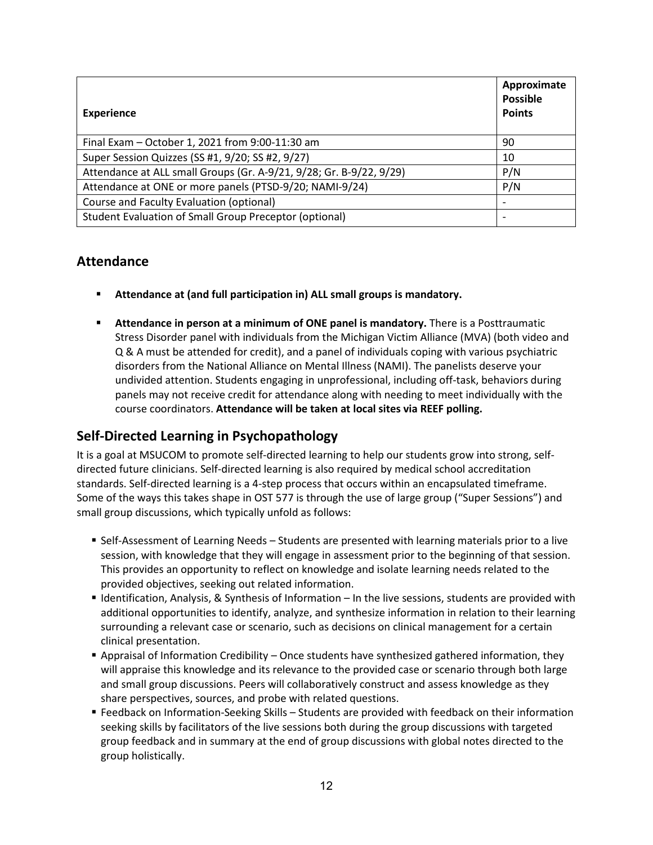| <b>Experience</b>                                                   | Approximate<br><b>Possible</b><br><b>Points</b> |
|---------------------------------------------------------------------|-------------------------------------------------|
| Final Exam - October 1, 2021 from 9:00-11:30 am                     | 90                                              |
| Super Session Quizzes (SS #1, 9/20; SS #2, 9/27)                    | 10                                              |
| Attendance at ALL small Groups (Gr. A-9/21, 9/28; Gr. B-9/22, 9/29) | P/N                                             |
| Attendance at ONE or more panels (PTSD-9/20; NAMI-9/24)             | P/N                                             |
| Course and Faculty Evaluation (optional)                            |                                                 |
| Student Evaluation of Small Group Preceptor (optional)              |                                                 |

### <span id="page-11-0"></span>**Attendance**

- **Attendance at (and full participation in) ALL small groups is mandatory.**
- **Attendance in person at a minimum of ONE panel is mandatory.** There is a Posttraumatic Stress Disorder panel with individuals from the Michigan Victim Alliance (MVA) (both video and Q & A must be attended for credit), and a panel of individuals coping with various psychiatric disorders from the National Alliance on Mental Illness (NAMI). The panelists deserve your undivided attention. Students engaging in unprofessional, including off-task, behaviors during panels may not receive credit for attendance along with needing to meet individually with the course coordinators. **Attendance will be taken at local sites via REEF polling.**

### <span id="page-11-1"></span>**Self-Directed Learning in Psychopathology**

It is a goal at MSUCOM to promote self-directed learning to help our students grow into strong, selfdirected future clinicians. Self-directed learning is also required by medical school accreditation standards. Self-directed learning is a 4-step process that occurs within an encapsulated timeframe. Some of the ways this takes shape in OST 577 is through the use of large group ("Super Sessions") and small group discussions, which typically unfold as follows:

- **Self-Assessment of Learning Needs Students are presented with learning materials prior to a live** session, with knowledge that they will engage in assessment prior to the beginning of that session. This provides an opportunity to reflect on knowledge and isolate learning needs related to the provided objectives, seeking out related information.
- Identification, Analysis, & Synthesis of Information In the live sessions, students are provided with additional opportunities to identify, analyze, and synthesize information in relation to their learning surrounding a relevant case or scenario, such as decisions on clinical management for a certain clinical presentation.
- **Appraisal of Information Credibility Once students have synthesized gathered information, they** will appraise this knowledge and its relevance to the provided case or scenario through both large and small group discussions. Peers will collaboratively construct and assess knowledge as they share perspectives, sources, and probe with related questions.
- Feedback on Information-Seeking Skills Students are provided with feedback on their information seeking skills by facilitators of the live sessions both during the group discussions with targeted group feedback and in summary at the end of group discussions with global notes directed to the group holistically.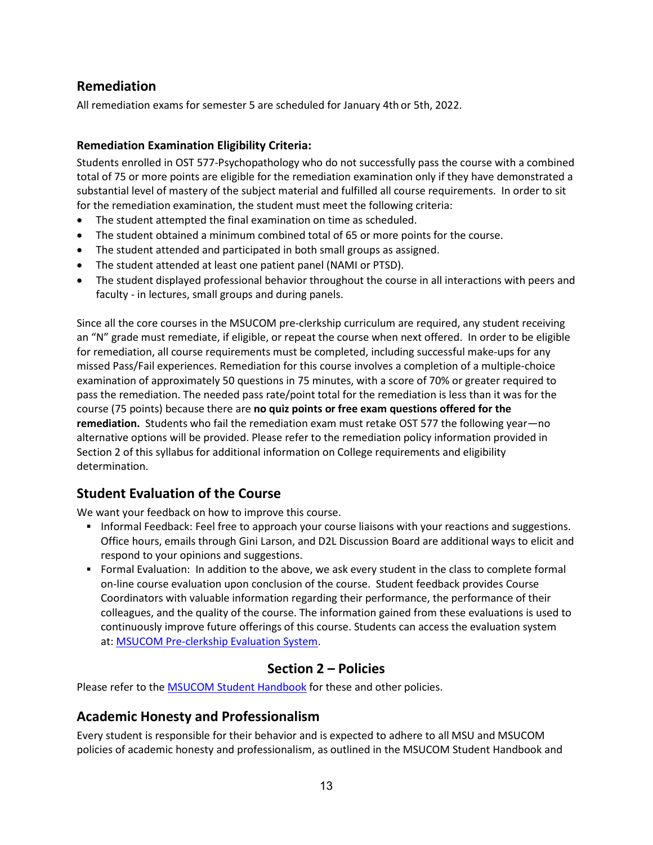# **Remediation**

All remediation exams for semester 5 are scheduled for January 4th or 5th, 2022.

### **Remediation Examination Eligibility Criteria:**

Students enrolled in OST 577-Psychopathology who do not successfully pass the course with a combined total of 75 or more points are eligible for the remediation examination only if they have demonstrated a substantial level of mastery of the subject material and fulfilled all course requirements. In order to sit for the remediation examination, the student must meet the following criteria:

- The student attempted the final examination on time as scheduled.
- The student obtained a minimum combined total of 65 or more points for the course.
- The student attended and participated in both small groups as assigned.
- The student attended at least one patient panel (NAMI or PTSD).
- The student displayed professional behavior throughout the course in all interactions with peers and faculty - in lectures, small groups and during panels.

Since all the core courses in the MSUCOM pre-clerkship curriculum are required, any student receiving an "N" grade must remediate, if eligible, or repeat the course when next offered. In order to be eligible for remediation, all course requirements must be completed, including successful make-ups for any missed Pass/Fail experiences. Remediation for this course involves a completion of a multiple-choice examination of approximately 50 questions in 75 minutes, with a score of 70% or greater required to pass the remediation. The needed pass rate/point total for the remediation is less than it was for the course (75 points) because there are **no quiz points or free exam questions offered for the remediation.** Students who fail the remediation exam must retake OST 577 the following year—no alternative options will be provided. Please refer to the remediation policy information provided in Section 2 of this syllabus for additional information on College requirements and eligibility determination.

### <span id="page-12-0"></span>**Student Evaluation of the Course**

We want your feedback on how to improve this course.

- **Informal Feedback: Feel free to approach your course liaisons with your reactions and suggestions.** Office hours, emails through Gini Larson, and D2L Discussion Board are additional ways to elicit and respond to your opinions and suggestions.
- Formal Evaluation: In addition to the above, we ask every student in the class to complete formal on-line course evaluation upon conclusion of the course. Student feedback provides Course Coordinators with valuable information regarding their performance, the performance of their colleagues, and the quality of the course. The information gained from these evaluations is used to continuously improve future offerings of this course. Students can access the evaluation system at: [MSUCOM Pre-clerkship Evaluation System.](https://evalue.msu.edu/)

### **Section 2 – Policies**

Please refer to the [MSUCOM Student Handbook](https://com.msu.edu/current-students/student-handbook-course-catalog) for these and other policies.

### <span id="page-12-1"></span>**Academic Honesty and Professionalism**

Every student is responsible for their behavior and is expected to adhere to all MSU and MSUCOM policies of academic honesty and professionalism, as outlined in the MSUCOM Student Handbook and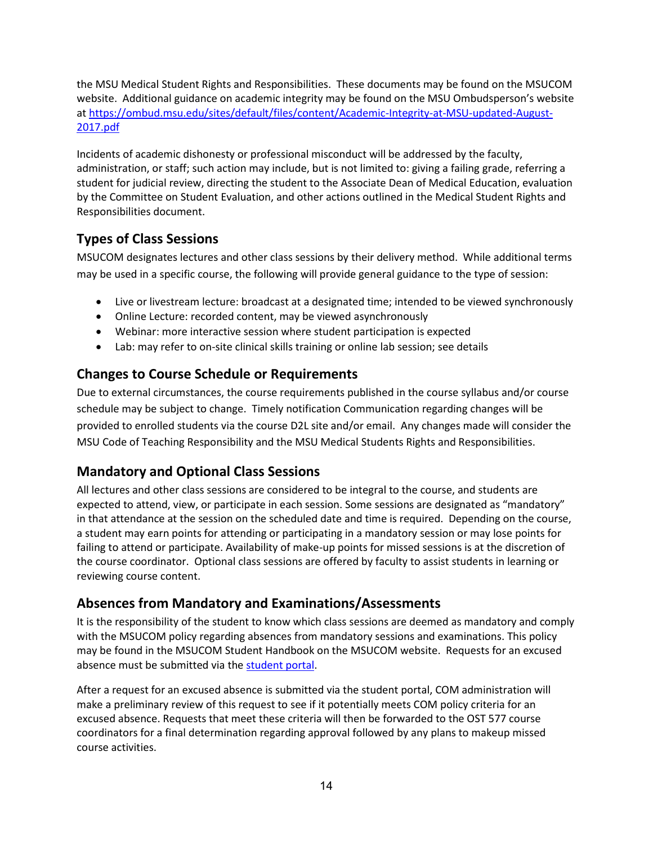the MSU Medical Student Rights and Responsibilities. These documents may be found on the MSUCOM website. Additional guidance on academic integrity may be found on the MSU Ombudsperson's website at [https://ombud.msu.edu/sites/default/files/content/Academic-Integrity-at-MSU-updated-August-](https://ombud.msu.edu/sites/default/files/content/Academic-Integrity-at-MSU-updated-August-2017.pdf)[2017.pdf](https://ombud.msu.edu/sites/default/files/content/Academic-Integrity-at-MSU-updated-August-2017.pdf)

Incidents of academic dishonesty or professional misconduct will be addressed by the faculty, administration, or staff; such action may include, but is not limited to: giving a failing grade, referring a student for judicial review, directing the student to the Associate Dean of Medical Education, evaluation by the Committee on Student Evaluation, and other actions outlined in the Medical Student Rights and Responsibilities document.

# <span id="page-13-0"></span>**Types of Class Sessions**

MSUCOM designates lectures and other class sessions by their delivery method. While additional terms may be used in a specific course, the following will provide general guidance to the type of session:

- Live or livestream lecture: broadcast at a designated time; intended to be viewed synchronously
- Online Lecture: recorded content, may be viewed asynchronously
- Webinar: more interactive session where student participation is expected
- Lab: may refer to on-site clinical skills training or online lab session; see details

# **Changes to Course Schedule or Requirements**

Due to external circumstances, the course requirements published in the course syllabus and/or course schedule may be subject to change. Timely notification Communication regarding changes will be provided to enrolled students via the course D2L site and/or email. Any changes made will consider the MSU Code of Teaching Responsibility and the MSU Medical Students Rights and Responsibilities.

# <span id="page-13-1"></span>**Mandatory and Optional Class Sessions**

All lectures and other class sessions are considered to be integral to the course, and students are expected to attend, view, or participate in each session. Some sessions are designated as "mandatory" in that attendance at the session on the scheduled date and time is required. Depending on the course, a student may earn points for attending or participating in a mandatory session or may lose points for failing to attend or participate. Availability of make-up points for missed sessions is at the discretion of the course coordinator. Optional class sessions are offered by faculty to assist students in learning or reviewing course content.

# <span id="page-13-2"></span>**Absences from Mandatory and Examinations/Assessments**

It is the responsibility of the student to know which class sessions are deemed as mandatory and comply with the MSUCOM policy regarding absences from mandatory sessions and examinations. This policy may be found in the MSUCOM Student Handbook on the MSUCOM website. Requests for an excused absence must be submitted via the [student portal.](https://studentportal.com.msu.edu/)

After a request for an excused absence is submitted via the student portal, COM administration will make a preliminary review of this request to see if it potentially meets COM policy criteria for an excused absence. Requests that meet these criteria will then be forwarded to the OST 577 course coordinators for a final determination regarding approval followed by any plans to makeup missed course activities.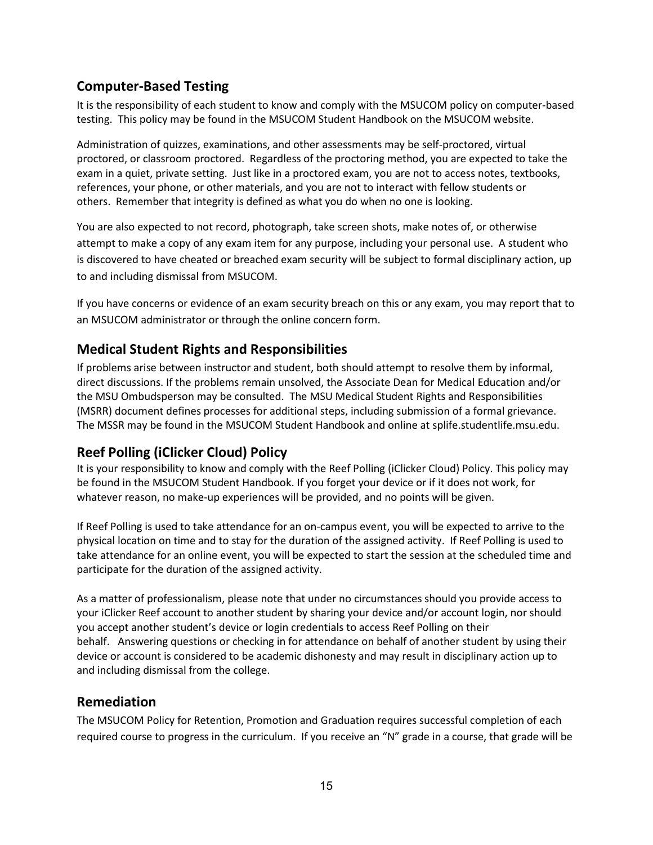### <span id="page-14-0"></span>**Computer-Based Testing**

It is the responsibility of each student to know and comply with the MSUCOM policy on computer-based testing. This policy may be found in the MSUCOM Student Handbook on the MSUCOM website.

Administration of quizzes, examinations, and other assessments may be self-proctored, virtual proctored, or classroom proctored. Regardless of the proctoring method, you are expected to take the exam in a quiet, private setting. Just like in a proctored exam, you are not to access notes, textbooks, references, your phone, or other materials, and you are not to interact with fellow students or others. Remember that integrity is defined as what you do when no one is looking.

You are also expected to not record, photograph, take screen shots, make notes of, or otherwise attempt to make a copy of any exam item for any purpose, including your personal use. A student who is discovered to have cheated or breached exam security will be subject to formal disciplinary action, up to and including dismissal from MSUCOM.

If you have concerns or evidence of an exam security breach on this or any exam, you may report that to an MSUCOM administrator or through the online concern form.

### <span id="page-14-1"></span>**Medical Student Rights and Responsibilities**

If problems arise between instructor and student, both should attempt to resolve them by informal, direct discussions. If the problems remain unsolved, the Associate Dean for Medical Education and/or the MSU Ombudsperson may be consulted. The MSU Medical Student Rights and Responsibilities (MSRR) document defines processes for additional steps, including submission of a formal grievance. The MSSR may be found in the MSUCOM Student Handbook and online at splife.studentlife.msu.edu.

### **Reef Polling (iClicker Cloud) Policy**

It is your responsibility to know and comply with the Reef Polling (iClicker Cloud) Policy. This policy may be found in the MSUCOM Student Handbook. If you forget your device or if it does not work, for whatever reason, no make-up experiences will be provided, and no points will be given.

If Reef Polling is used to take attendance for an on-campus event, you will be expected to arrive to the physical location on time and to stay for the duration of the assigned activity. If Reef Polling is used to take attendance for an online event, you will be expected to start the session at the scheduled time and participate for the duration of the assigned activity.

As a matter of professionalism, please note that under no circumstances should you provide access to your iClicker Reef account to another student by sharing your device and/or account login, nor should you accept another student's device or login credentials to access Reef Polling on their behalf. Answering questions or checking in for attendance on behalf of another student by using their device or account is considered to be academic dishonesty and may result in disciplinary action up to and including dismissal from the college.

### <span id="page-14-2"></span>**Remediation**

The MSUCOM Policy for Retention, Promotion and Graduation requires successful completion of each required course to progress in the curriculum. If you receive an "N" grade in a course, that grade will be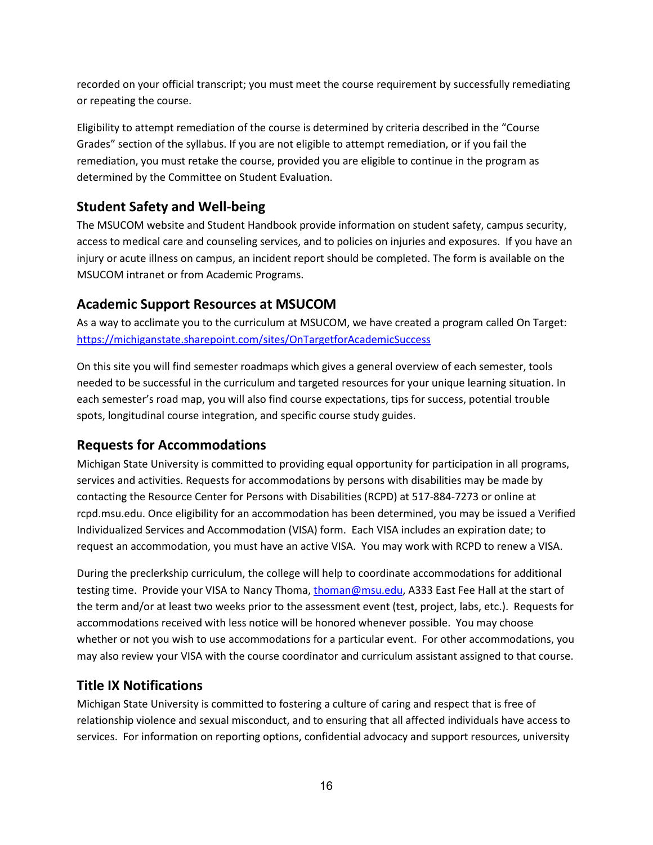recorded on your official transcript; you must meet the course requirement by successfully remediating or repeating the course.

Eligibility to attempt remediation of the course is determined by criteria described in the "Course Grades" section of the syllabus. If you are not eligible to attempt remediation, or if you fail the remediation, you must retake the course, provided you are eligible to continue in the program as determined by the Committee on Student Evaluation.

# <span id="page-15-0"></span>**Student Safety and Well-being**

The MSUCOM website and Student Handbook provide information on student safety, campus security, access to medical care and counseling services, and to policies on injuries and exposures. If you have an injury or acute illness on campus, an incident report should be completed. The form is available on the MSUCOM intranet or from Academic Programs.

# <span id="page-15-1"></span>**Academic Support Resources at MSUCOM**

As a way to acclimate you to the curriculum at MSUCOM, we have created a program called On Target: <https://michiganstate.sharepoint.com/sites/OnTargetforAcademicSuccess>

On this site you will find semester roadmaps which gives a general overview of each semester, tools needed to be successful in the curriculum and targeted resources for your unique learning situation. In each semester's road map, you will also find course expectations, tips for success, potential trouble spots, longitudinal course integration, and specific course study guides.

# <span id="page-15-2"></span>**Requests for Accommodations**

Michigan State University is committed to providing equal opportunity for participation in all programs, services and activities. Requests for accommodations by persons with disabilities may be made by contacting the Resource Center for Persons with Disabilities (RCPD) at 517-884-7273 or online at rcpd.msu.edu. Once eligibility for an accommodation has been determined, you may be issued a Verified Individualized Services and Accommodation (VISA) form. Each VISA includes an expiration date; to request an accommodation, you must have an active VISA. You may work with RCPD to renew a VISA.

During the preclerkship curriculum, the college will help to coordinate accommodations for additional testing time. Provide your VISA to Nancy Thoma, [thoman@msu.edu,](mailto:thoman@msu.edu) A333 East Fee Hall at the start of the term and/or at least two weeks prior to the assessment event (test, project, labs, etc.). Requests for accommodations received with less notice will be honored whenever possible. You may choose whether or not you wish to use accommodations for a particular event. For other accommodations, you may also review your VISA with the course coordinator and curriculum assistant assigned to that course.

# <span id="page-15-3"></span>**Title IX Notifications**

Michigan State University is committed to fostering a culture of caring and respect that is free of relationship violence and sexual misconduct, and to ensuring that all affected individuals have access to services. For information on reporting options, confidential advocacy and support resources, university